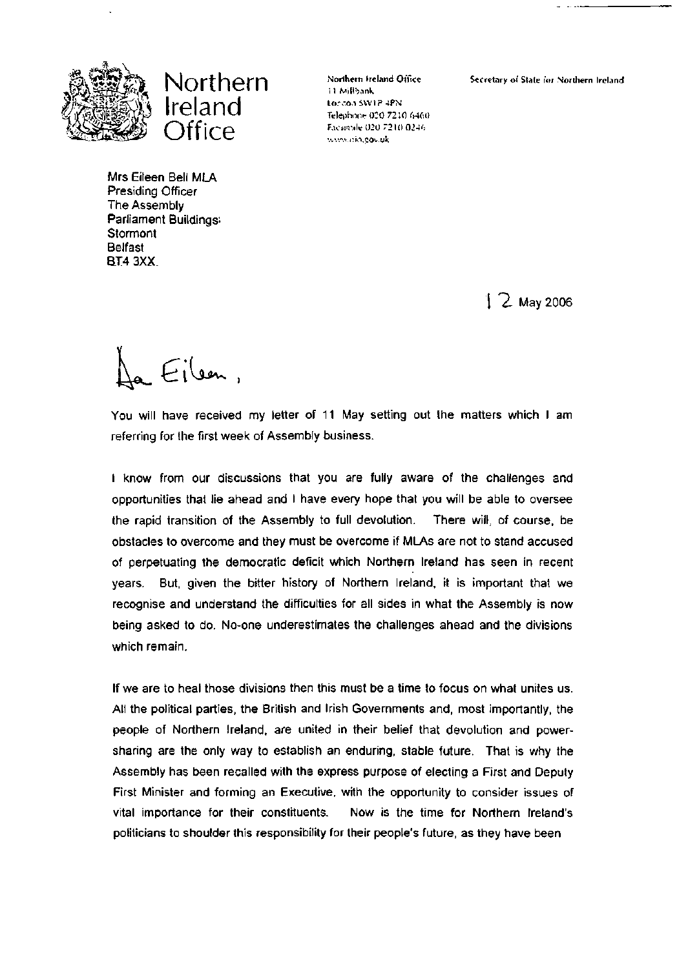



Northern Ireland Office i 1 Milibank Lorco.i SW1P -iPN Telephone 020 7210 6460 Facsmile 020 7210 0246 www.cio.gov.uk

Secretary of State for Northern Ireland

Mrs Eileen Bell MLA Presiding Officer The Assembly Parliament Buildings; **Stormont** Belfast **BT4 3XX.** 

 $12$  May 2006

Eilen,

You will have received my letter of 11 May setting out the matters which I am referring for the first week of Assembly business.

I know from our discussions that you are fully aware of the challenges and opportunities that lie ahead and I have every hope that you will be able to oversee the rapid transition of the Assembly to full devolution. There will, of course, be obstacles to overcome and they must be overcome if MLAs are not to stand accused of perpetuating the democratic deficit which Northern Ireland has seen in recent years. But, given the bitter history of Northern Ireland, it is important that we recognise and understand the difficulties for all sides in what the Assembly is now being asked to do. No-one underestimates the challenges ahead and the divisions which remain.

If we are to heal those divisions then this must be a time to focus on what unites us. All the political parties, the British and Irish Governments and, most importantly, the people of Northern Ireland, are united in their belief that devolution and powersharing are the only way to establish an enduring, stable future. That is why the Assembly has been recalled with the express purpose of electing a First and Deputy First Minister and forming an Executive, with the opportunity to consider issues of vital importance for their constituents. Now is the time for Northern Ireland's politicians to shoulder this responsibility for their people's future, as they have been